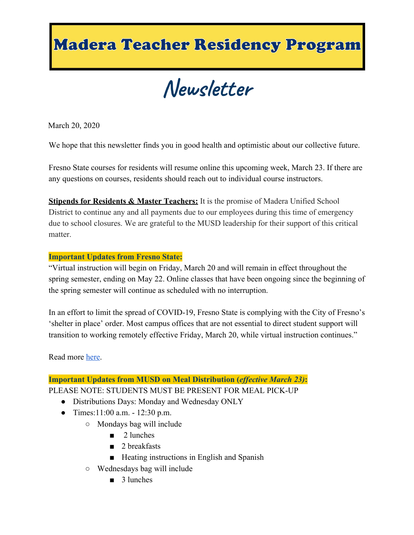## **Madera Teacher Residency Program**

**Newsletter**

March 20, 2020

We hope that this newsletter finds you in good health and optimistic about our collective future.

Fresno State courses for residents will resume online this upcoming week, March 23. If there are any questions on courses, residents should reach out to individual course instructors.

**Stipends for Residents & Master Teachers:** It is the promise of Madera Unified School District to continue any and all payments due to our employees during this time of emergency due to school closures. We are grateful to the MUSD leadership for their support of this critical matter.

## **Important Updates from Fresno State:**

"Virtual instruction will begin on Friday, March 20 and will remain in effect throughout the spring semester, ending on May 22. Online classes that have been ongoing since the beginning of the spring semester will continue as scheduled with no interruption.

In an effort to limit the spread of COVID-19, Fresno State is complying with the City of Fresno's 'shelter in place' order. Most campus offices that are not essential to direct student support will transition to working remotely effective Friday, March 20, while virtual instruction continues."

Read more [here.](http://fresnostate.edu/president/coronavirus/)

## **Important Updates from MUSD on Meal Distribution (***effective March 23)***:**

PLEASE NOTE: STUDENTS MUST BE PRESENT FOR MEAL PICK-UP

- Distributions Days: Monday and Wednesday ONLY
- Times:  $11:00$  a.m.  $-12:30$  p.m.
	- Mondays bag will include
		- 2 lunches
		- 2 breakfasts
		- Heating instructions in English and Spanish
	- Wednesdays bag will include
		- 3 lunches